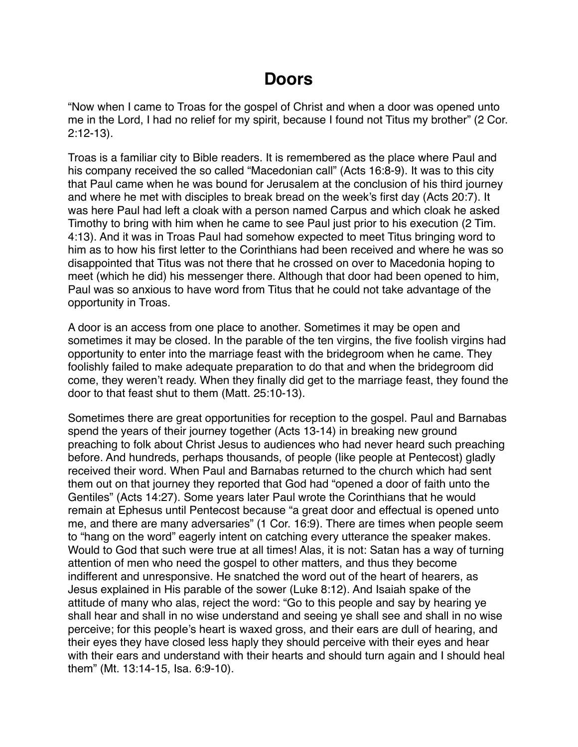## **Doors**

"Now when I came to Troas for the gospel of Christ and when a door was opened unto me in the Lord, I had no relief for my spirit, because I found not Titus my brother" (2 Cor. 2:12-13).

Troas is a familiar city to Bible readers. It is remembered as the place where Paul and his company received the so called "Macedonian call" (Acts 16:8-9). It was to this city that Paul came when he was bound for Jerusalem at the conclusion of his third journey and where he met with disciples to break bread on the week's first day (Acts 20:7). It was here Paul had left a cloak with a person named Carpus and which cloak he asked Timothy to bring with him when he came to see Paul just prior to his execution (2 Tim. 4:13). And it was in Troas Paul had somehow expected to meet Titus bringing word to him as to how his first letter to the Corinthians had been received and where he was so disappointed that Titus was not there that he crossed on over to Macedonia hoping to meet (which he did) his messenger there. Although that door had been opened to him, Paul was so anxious to have word from Titus that he could not take advantage of the opportunity in Troas.

A door is an access from one place to another. Sometimes it may be open and sometimes it may be closed. In the parable of the ten virgins, the five foolish virgins had opportunity to enter into the marriage feast with the bridegroom when he came. They foolishly failed to make adequate preparation to do that and when the bridegroom did come, they weren't ready. When they finally did get to the marriage feast, they found the door to that feast shut to them (Matt. 25:10-13).

Sometimes there are great opportunities for reception to the gospel. Paul and Barnabas spend the years of their journey together (Acts 13-14) in breaking new ground preaching to folk about Christ Jesus to audiences who had never heard such preaching before. And hundreds, perhaps thousands, of people (like people at Pentecost) gladly received their word. When Paul and Barnabas returned to the church which had sent them out on that journey they reported that God had "opened a door of faith unto the Gentiles" (Acts 14:27). Some years later Paul wrote the Corinthians that he would remain at Ephesus until Pentecost because "a great door and effectual is opened unto me, and there are many adversaries" (1 Cor. 16:9). There are times when people seem to "hang on the word" eagerly intent on catching every utterance the speaker makes. Would to God that such were true at all times! Alas, it is not: Satan has a way of turning attention of men who need the gospel to other matters, and thus they become indifferent and unresponsive. He snatched the word out of the heart of hearers, as Jesus explained in His parable of the sower (Luke 8:12). And Isaiah spake of the attitude of many who alas, reject the word: "Go to this people and say by hearing ye shall hear and shall in no wise understand and seeing ye shall see and shall in no wise perceive; for this people's heart is waxed gross, and their ears are dull of hearing, and their eyes they have closed less haply they should perceive with their eyes and hear with their ears and understand with their hearts and should turn again and I should heal them" (Mt. 13:14-15, Isa. 6:9-10).